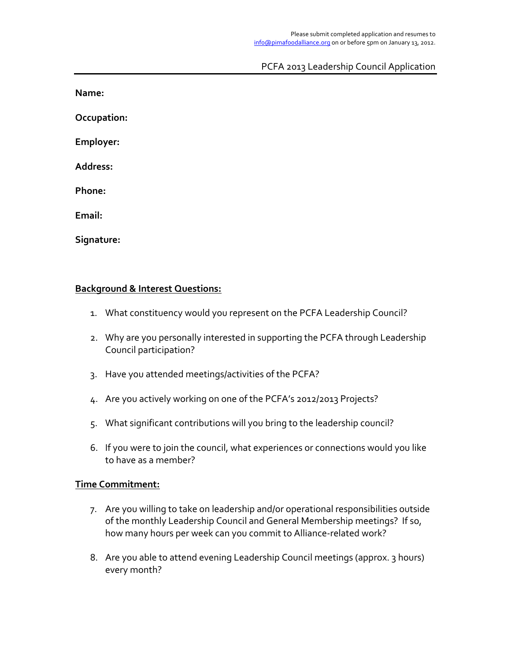## PCFA 2013 Leadership Council Application

**Name:**

**Occupation:!**

Employer:

**Address:**

Phone:

Email:

Signature:

## **Background & Interest Questions:**

- 1. What constituency would you represent on the PCFA Leadership Council?
- 2. Why are you personally interested in supporting the PCFA through Leadership Council participation?
- 3. Have you attended meetings/activities of the PCFA?
- 4. Are you actively working on one of the PCFA's 2012/2013 Projects?
- 5. What significant contributions will you bring to the leadership council?
- 6. If you were to join the council, what experiences or connections would you like to have as a member?

## **Time!Commitment:**

- 7. Are you willing to take on leadership and/or operational responsibilities outside of the monthly Leadership Council and General Membership meetings? If so, how many hours per week can you commit to Alliance-related work?
- 8. Are you able to attend evening Leadership Council meetings (approx. 3 hours) every month?